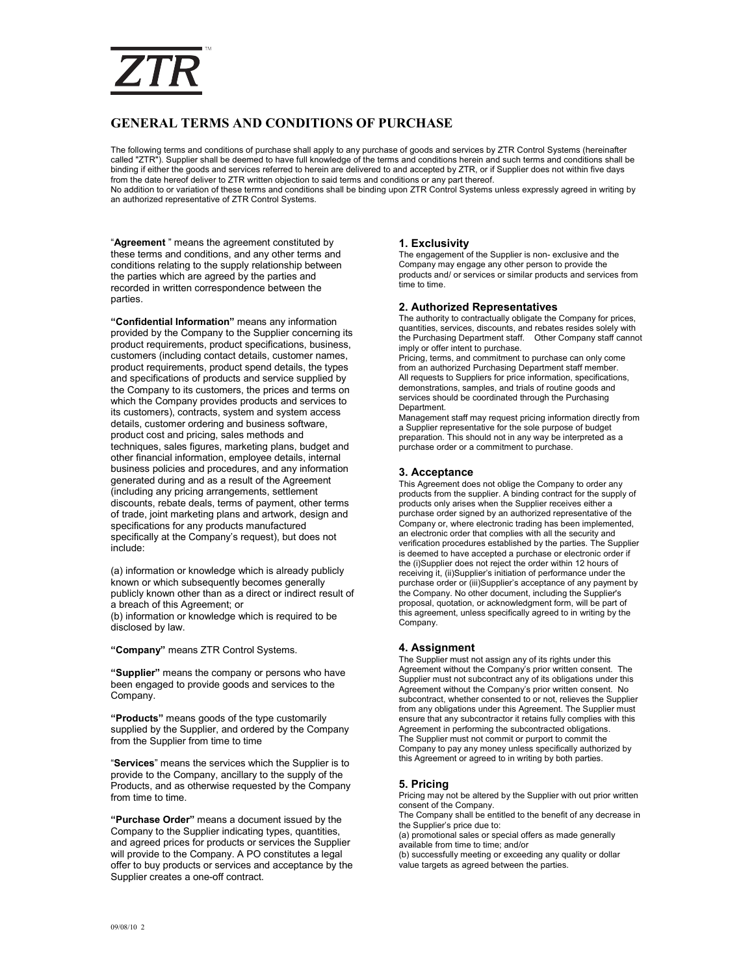# ZTR

# **GENERAL TERMS AND CONDITIONS OF PURCHASE**

The following terms and conditions of purchase shall apply to any purchase of goods and services by ZTR Control Systems (hereinafter called "ZTR"). Supplier shall be deemed to have full knowledge of the terms and conditions herein and such terms and conditions shall be binding if either the goods and services referred to herein are delivered to and accepted by ZTR, or if Supplier does not within five days from the date hereof deliver to ZTR written objection to said terms and conditions or any part thereof. No addition to or variation of these terms and conditions shall be binding upon ZTR Control Systems unless expressly agreed in writing by an authorized representative of ZTR Control Systems.

"**Agreement** " means the agreement constituted by these terms and conditions, and any other terms and conditions relating to the supply relationship between the parties which are agreed by the parties and recorded in written correspondence between the parties.

**"Confidential Information"** means any information provided by the Company to the Supplier concerning its product requirements, product specifications, business, customers (including contact details, customer names, product requirements, product spend details, the types and specifications of products and service supplied by the Company to its customers, the prices and terms on which the Company provides products and services to its customers), contracts, system and system access details, customer ordering and business software, product cost and pricing, sales methods and techniques, sales figures, marketing plans, budget and other financial information, employee details, internal business policies and procedures, and any information generated during and as a result of the Agreement (including any pricing arrangements, settlement discounts, rebate deals, terms of payment, other terms of trade, joint marketing plans and artwork, design and specifications for any products manufactured specifically at the Company's request), but does not include:

(a) information or knowledge which is already publicly known or which subsequently becomes generally publicly known other than as a direct or indirect result of a breach of this Agreement; or (b) information or knowledge which is required to be disclosed by law.

**"Company"** means ZTR Control Systems.

**"Supplier"** means the company or persons who have been engaged to provide goods and services to the Company.

**"Products"** means goods of the type customarily supplied by the Supplier, and ordered by the Company from the Supplier from time to time

"**Services**" means the services which the Supplier is to provide to the Company, ancillary to the supply of the Products, and as otherwise requested by the Company from time to time.

**"Purchase Order"** means a document issued by the Company to the Supplier indicating types, quantities, and agreed prices for products or services the Supplier will provide to the Company. A PO constitutes a legal offer to buy products or services and acceptance by the Supplier creates a one-off contract.

# **1. Exclusivity**

The engagement of the Supplier is non- exclusive and the Company may engage any other person to provide the products and/ or services or similar products and services from time to time.

#### **2. Authorized Representatives**

The authority to contractually obligate the Company for prices, quantities, services, discounts, and rebates resides solely with the Purchasing Department staff. Other Company staff cannot imply or offer intent to purchase.

Pricing, terms, and commitment to purchase can only come from an authorized Purchasing Department staff member. All requests to Suppliers for price information, specifications, demonstrations, samples, and trials of routine goods and services should be coordinated through the Purchasing Department.

Management staff may request pricing information directly from a Supplier representative for the sole purpose of budget preparation. This should not in any way be interpreted as a purchase order or a commitment to purchase.

### **3. Acceptance**

This Agreement does not oblige the Company to order any products from the supplier. A binding contract for the supply of products only arises when the Supplier receives either a purchase order signed by an authorized representative of the Company or, where electronic trading has been implemented, an electronic order that complies with all the security and verification procedures established by the parties. The Supplier is deemed to have accepted a purchase or electronic order if the (i)Supplier does not reject the order within 12 hours of receiving it, (ii)Supplier's initiation of performance under the purchase order or (iii)Supplier's acceptance of any payment by the Company. No other document, including the Supplier's proposal, quotation, or acknowledgment form, will be part of this agreement, unless specifically agreed to in writing by the Company.

### **4. Assignment**

The Supplier must not assign any of its rights under this Agreement without the Company's prior written consent. The Supplier must not subcontract any of its obligations under this Agreement without the Company's prior written consent. No subcontract, whether consented to or not, relieves the Supplier from any obligations under this Agreement. The Supplier must ensure that any subcontractor it retains fully complies with this Agreement in performing the subcontracted obligations. The Supplier must not commit or purport to commit the Company to pay any money unless specifically authorized by this Agreement or agreed to in writing by both parties.

### **5. Pricing**

Pricing may not be altered by the Supplier with out prior written consent of the Company.

The Company shall be entitled to the benefit of any decrease in the Supplier's price due to:

(a) promotional sales or special offers as made generally available from time to time; and/or

(b) successfully meeting or exceeding any quality or dollar value targets as agreed between the parties.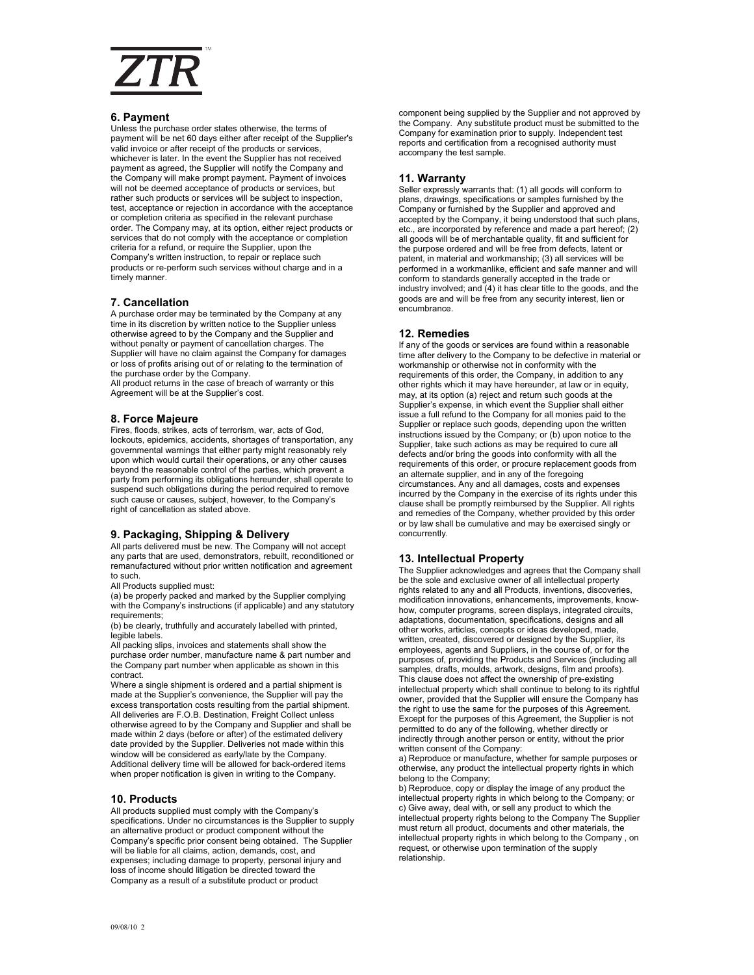

#### **6. Payment**

Unless the purchase order states otherwise, the terms of payment will be net 60 days either after receipt of the Supplier's valid invoice or after receipt of the products or services, whichever is later. In the event the Supplier has not received payment as agreed, the Supplier will notify the Company and the Company will make prompt payment. Payment of invoices will not be deemed acceptance of products or services, but rather such products or services will be subject to inspection, test, acceptance or rejection in accordance with the acceptance or completion criteria as specified in the relevant purchase order. The Company may, at its option, either reject products or services that do not comply with the acceptance or completion criteria for a refund, or require the Supplier, upon the Company's written instruction, to repair or replace such products or re-perform such services without charge and in a timely manner.

#### **7. Cancellation**

A purchase order may be terminated by the Company at any time in its discretion by written notice to the Supplier unless otherwise agreed to by the Company and the Supplier and without penalty or payment of cancellation charges. The Supplier will have no claim against the Company for damages or loss of profits arising out of or relating to the termination of the purchase order by the Company.

All product returns in the case of breach of warranty or this Agreement will be at the Supplier's cost.

#### **8. Force Majeure**

Fires, floods, strikes, acts of terrorism, war, acts of God, lockouts, epidemics, accidents, shortages of transportation, any governmental warnings that either party might reasonably rely upon which would curtail their operations, or any other causes beyond the reasonable control of the parties, which prevent a party from performing its obligations hereunder, shall operate to suspend such obligations during the period required to remove such cause or causes, subject, however, to the Company's right of cancellation as stated above.

# **9. Packaging, Shipping & Delivery**

All parts delivered must be new. The Company will not accept any parts that are used, demonstrators, rebuilt, reconditioned or remanufactured without prior written notification and agreement to such.

All Products supplied must:

(a) be properly packed and marked by the Supplier complying with the Company's instructions (if applicable) and any statutory requirements;

(b) be clearly, truthfully and accurately labelled with printed, legible labels.

All packing slips, invoices and statements shall show the purchase order number, manufacture name & part number and the Company part number when applicable as shown in this contract.

Where a single shipment is ordered and a partial shipment is made at the Supplier's convenience, the Supplier will pay the excess transportation costs resulting from the partial shipment. All deliveries are F.O.B. Destination, Freight Collect unless otherwise agreed to by the Company and Supplier and shall be made within 2 days (before or after) of the estimated delivery date provided by the Supplier. Deliveries not made within this window will be considered as early/late by the Company. Additional delivery time will be allowed for back-ordered items when proper notification is given in writing to the Company.

#### **10. Products**

All products supplied must comply with the Company's specifications. Under no circumstances is the Supplier to supply an alternative product or product component without the Company's specific prior consent being obtained. The Supplier will be liable for all claims, action, demands, cost, and expenses; including damage to property, personal injury and loss of income should litigation be directed toward the Company as a result of a substitute product or product

component being supplied by the Supplier and not approved by the Company. Any substitute product must be submitted to the Company for examination prior to supply. Independent test reports and certification from a recognised authority must accompany the test sample.

#### **11. Warranty**

Seller expressly warrants that: (1) all goods will conform to plans, drawings, specifications or samples furnished by the Company or furnished by the Supplier and approved and accepted by the Company, it being understood that such plans, etc., are incorporated by reference and made a part hereof; (2) all goods will be of merchantable quality, fit and sufficient for the purpose ordered and will be free from defects, latent or patent, in material and workmanship; (3) all services will be performed in a workmanlike, efficient and safe manner and will conform to standards generally accepted in the trade or industry involved; and (4) it has clear title to the goods, and the goods are and will be free from any security interest, lien or encumbrance.

# **12. Remedies**

If any of the goods or services are found within a reasonable time after delivery to the Company to be defective in material or workmanship or otherwise not in conformity with the requirements of this order, the Company, in addition to any other rights which it may have hereunder, at law or in equity, may, at its option (a) reject and return such goods at the Supplier's expense, in which event the Supplier shall either issue a full refund to the Company for all monies paid to the Supplier or replace such goods, depending upon the written instructions issued by the Company; or (b) upon notice to the Supplier, take such actions as may be required to cure all defects and/or bring the goods into conformity with all the requirements of this order, or procure replacement goods from an alternate supplier, and in any of the foregoing circumstances. Any and all damages, costs and expenses incurred by the Company in the exercise of its rights under this clause shall be promptly reimbursed by the Supplier. All rights and remedies of the Company, whether provided by this order or by law shall be cumulative and may be exercised singly or concurrently.

### **13. Intellectual Property**

The Supplier acknowledges and agrees that the Company shall be the sole and exclusive owner of all intellectual property rights related to any and all Products, inventions, discoveries, modification innovations, enhancements, improvements, knowhow, computer programs, screen displays, integrated circuits, adaptations, documentation, specifications, designs and all other works, articles, concepts or ideas developed, made, written, created, discovered or designed by the Supplier, its employees, agents and Suppliers, in the course of, or for the purposes of, providing the Products and Services (including all .<br>samples, drafts, moulds, artwork, designs, film and proofs) This clause does not affect the ownership of pre-existing intellectual property which shall continue to belong to its rightful owner, provided that the Supplier will ensure the Company has the right to use the same for the purposes of this Agreement. Except for the purposes of this Agreement, the Supplier is not permitted to do any of the following, whether directly or indirectly through another person or entity, without the prior written consent of the Company:

a) Reproduce or manufacture, whether for sample purposes or otherwise, any product the intellectual property rights in which belong to the Company;

b) Reproduce, copy or display the image of any product the intellectual property rights in which belong to the Company; or c) Give away, deal with, or sell any product to which the intellectual property rights belong to the Company The Supplier must return all product, documents and other materials, the intellectual property rights in which belong to the Company , on request, or otherwise upon termination of the supply relationship.